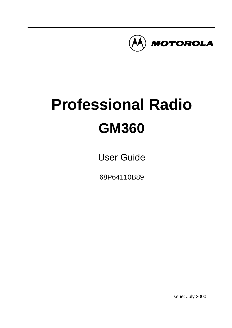

# **Professional Radio GM360**

User Guide

68P64110B89

Issue: July 2000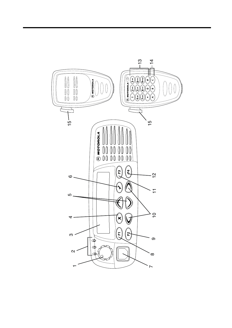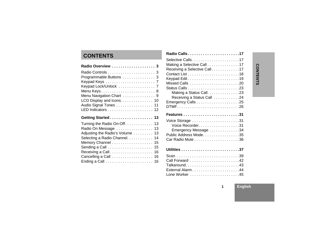## **CONTENTS CONTENTS**

## **CONTENTS**

| Radio Overview  3                                       |  |
|---------------------------------------------------------|--|
|                                                         |  |
| Programmable Buttons  3                                 |  |
|                                                         |  |
|                                                         |  |
| Menu Keys 8                                             |  |
| Menu Navigation Chart  9                                |  |
| LCD Display and Icons. 10                               |  |
| Audio Signal Tones 11                                   |  |
|                                                         |  |
|                                                         |  |
| Getting Started 13                                      |  |
|                                                         |  |
| Turning the Radio On-Off. 13                            |  |
| Radio On Message 13<br>Adjusting the Radio's Volume  13 |  |
| Selecting a Radio Channel. 14                           |  |
| Memory Channel  15                                      |  |
|                                                         |  |
|                                                         |  |
| Cancelling a Call  16                                   |  |

| Radio Calls17                                                                                                                               |
|---------------------------------------------------------------------------------------------------------------------------------------------|
| Selective Calls17<br>Making a Selective Call 17<br>Receiving a Selective Call. 17<br>Making a Status Call. 23<br>Receiving a Status Call 24 |
|                                                                                                                                             |
|                                                                                                                                             |
| Emergency Message 34<br>Public Address Mode. 35                                                                                             |
|                                                                                                                                             |
| Scan 39<br>External Alarm44                                                                                                                 |
|                                                                                                                                             |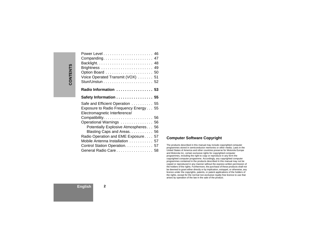| Voice Operated Transmit (VOX) 51                                                                                                                                                                                                   |  |
|------------------------------------------------------------------------------------------------------------------------------------------------------------------------------------------------------------------------------------|--|
| Radio Information  53                                                                                                                                                                                                              |  |
| Safety Information  55                                                                                                                                                                                                             |  |
| Safe and Efficient Operation  55<br>Exposure to Radio Frequency Energy 55<br>Electromagnetic Interference/                                                                                                                         |  |
| Operational Warnings  56<br>Potentially Explosive Atmospheres 56<br>Blasting Caps and Areas. 56<br>Radio Operation and EME Exposure 57<br>Mobile Antenna Installation 57<br>Control Station Operation. 57<br>General Radio Care 58 |  |

#### **Computer Software Copyright**

The products described in this manual may include copyrighted computer programmes stored in semiconductor memories or other media. Laws in the United States of America and other countries preserve for Motorola Europe and Motorola Inc. certain exclusive rights for copyrighted computer programmes, including the right to copy or reproduce in any form the copyrighted computer programme. Accordingly, any copyrighted computer programmes contained in the products described in this manual may not be copied or reproduced in any manner without the express written permission of the holders of the rights. Furthermore, the purchase of these products shall not be deemed to grant either directly or by implication, estoppel, or otherwise, any licence under the copyrights, patents, or patent applications of the holders of the rights, except for the normal non-exclusive royalty free licence to use that arises by operation of the law in the sale of the product.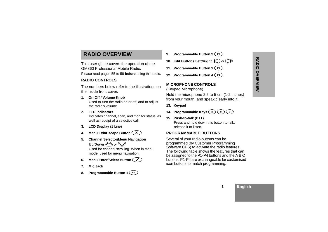### <span id="page-4-0"></span>**RADIO OVERVIEW**

<span id="page-4-1"></span>

This user guide covers the operation of the<br>
GM360 Professional Mobile Radio.<br>
Please read pages [55](#page-56-2) to [58](#page-59-0) before using this radio.<br> **RADIO CONTROLS**<br>
The numbers below refer to the illustrations on (Keypad Microphone)<br>
th

#### **1. On-Off / Volume Knob**

Used to turn the radio on or off, and to adjust the radio's volume.

**2. LED Indicators**

Indicates channel, scan, and monitor status, as well as receipt of <sup>a</sup> selective call.

- **3. LCD Display** (1 Line)
- **4. Menu Exit/Escape Button** x
- **5. Channel Selector/Menu Navigation Up/Down**  $\bigcirc$  or  $\bigcirc$

Used for channel scrolling. When in menu mode, used for menu navigation.

- **6. Menu Enter/Select Button** c
- **7. Mic Jack**
- **8.** Programmable Button 1 (PI)
- **9.** Programmable Button 2  $\boxed{P2}$
- **10.**  $\,$  <code>Edit</code> <code>Buttons Left/Right  $\bigcirc$  or  $\bigcirc$ </code>
- **11.** Programmable Button 3 (P3)
- **12.** Programmable Button 4  $\boxed{P4}$

#### **MICROPHONE CONTROLS**

(Keypad Microphone)

Hold the microphone 2.5 to 5 cm (1-2 inches) from your mouth, and speak clearly into it.

- **13. Keypad**
- **14.** Programmable Keys  $\binom{A}{A}$
- **15. Push-to-talk (PTT)** Press and hold down this button to talk; release it to listen.

#### <span id="page-4-2"></span>**PROGRAMMABLE BUTTONS**

Several of your radio buttons can be programmed (by Customer Programming Software CPS) to activate the radio features. The following table shows the features that can be assigned to the P1-P4 buttons and the A B C buttons. P1-P4 are exchangeable for customised icon buttons to match programming.

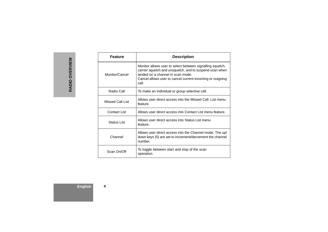|                                 | <b>Feature</b>      | <b>Description</b>                                                                                                                                                                                                              |
|---------------------------------|---------------------|---------------------------------------------------------------------------------------------------------------------------------------------------------------------------------------------------------------------------------|
| <b>OVERVIEW</b><br><b>RADIO</b> | Monitor/Cancel      | Monitor allows user to select between signalling squelch,<br>carrier squelch and unsquelch, and to suspend scan when<br>landed on a channel in scan mode.<br>Cancel allows user to cancel current incoming or outgoing<br>call. |
|                                 | Radio Call          | To make an individual or group selective call.                                                                                                                                                                                  |
|                                 | Missed Call List    | Allows user direct access into the Missed Call List menu<br>feature.                                                                                                                                                            |
|                                 | <b>Contact List</b> | Allows user direct access into Contact List menu feature.                                                                                                                                                                       |
|                                 | <b>Status List</b>  | Allows user direct access into Status List menu<br>feature.                                                                                                                                                                     |
|                                 | Channel             | Allows user direct access into the Channel mode. The up/<br>down keys (5) are set to increment/decrement the channel<br>number.                                                                                                 |
|                                 | Scan On/Off         | To toggle between start and stop of the scan<br>operation.                                                                                                                                                                      |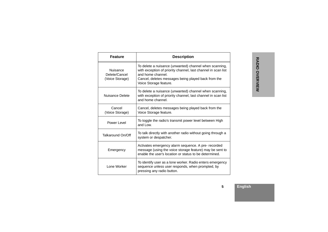| <b>Feature</b>                                      | <b>Description</b>                                                                                                                                                                                                            |                       |
|-----------------------------------------------------|-------------------------------------------------------------------------------------------------------------------------------------------------------------------------------------------------------------------------------|-----------------------|
| <b>Nuisance</b><br>Delete/Cancel<br>(Voice Storage) | To delete a nuisance (unwanted) channel when scanning,<br>with exception of priority channel, last channel in scan list<br>and home channel.<br>Cancel, deletes messages being played back from the<br>Voice Storage feature. | <b>AADIO OVERVIEW</b> |
| Nuisance Delete                                     | To delete a nuisance (unwanted) channel when scanning,<br>with exception of priority channel, last channel in scan list<br>and home channel.                                                                                  |                       |
| Cancel<br>(Voice Storage)                           | Cancel, deletes messages being played back from the<br>Voice Storage feature.                                                                                                                                                 |                       |
| Power Level                                         | To toggle the radio's transmit power level between High<br>and Low.                                                                                                                                                           |                       |
| Talkaround On/Off                                   | To talk directly with another radio without going through a<br>system or despatcher.                                                                                                                                          |                       |
| Emergency                                           | Activates emergency alarm sequence. A pre- recorded<br>message (using the voice storage feature) may be sent to<br>enable the user's location or status to be determined.                                                     |                       |
| Lone Worker                                         | To identify user as a lone worker. Radio enters emergency<br>sequence unless user responds, when prompted, by<br>pressing any radio button.                                                                                   |                       |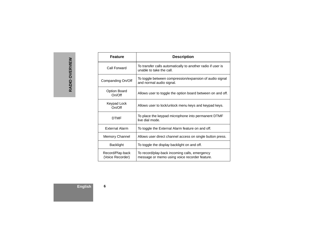|                 | <b>Feature</b>                       | <b>Description</b>                                                                             |
|-----------------|--------------------------------------|------------------------------------------------------------------------------------------------|
| <b>OVERVIEW</b> | Call Forward                         | To transfer calls automatically to another radio if user is<br>unable to take the call.        |
| <b>RADIO</b>    | Companding On/Off                    | To toggle between compression/expansion of audio signal<br>and normal audio signal.            |
|                 | <b>Option Board</b><br>On/Off        | Allows user to toggle the option board between on and off.                                     |
|                 | Keypad Lock<br>On/Off                | Allows user to lock/unlock menu keys and keypad keys.                                          |
|                 | <b>DTMF</b>                          | To place the keypad microphone into permanent DTMF<br>live dial mode.                          |
|                 | <b>External Alarm</b>                | To toggle the External Alarm feature on and off.                                               |
|                 | Memory Channel                       | Allows user direct channel access on single button press.                                      |
|                 | <b>Backlight</b>                     | To toggle the display backlight on and off.                                                    |
|                 | Record/Play-back<br>(Voice Recorder) | To record/play-back incoming calls, emergency<br>message or memo using voice recorder feature. |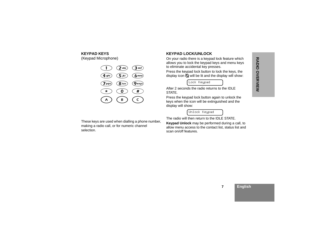#### <span id="page-8-0"></span>**KEYPAD KEYS**(Keypad Microphone)



These keys are used when dialling <sup>a</sup> phone number, making <sup>a</sup> radio call, or for numeric channel selection.

#### <span id="page-8-1"></span>**KEYPAD LOCK/UNLOCK**

On your radio there is <sup>a</sup> keypad lock feature which allows you to lock the keypad keys and menu keys to eliminate accidental key presses.

Press the keypad lock button to lock the keys, the display icon  $\ddot{Q}$  will be lit and the display will show:

Lock Keypad

After 2 seconds the radio returns to the IDLESTATE.

Press the keypad lock button again to unlock the keys when the icon will be extinguished and the display will show:

Unlock Keypad

The radio will then return to the IDLE STATE.

**Keypad Unlock** may be performed during <sup>a</sup> call, to allow menu access to the contact list, status list and scan on/off features.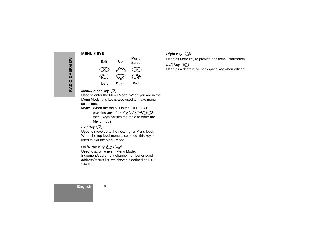#### <span id="page-9-0"></span>**MENU KEYS**



#### *Menu/Select Key* $\odot$

 Used to enter the Menu Mode. When you are in the Menu Mode, this key is also used to make menu selections.

**Note:** When the radio is in the IDLE STATE, pressing any of the  $\mathcal{O}(\mathbf{X})\mathbb{C}(\mathbf{X})$ menu keys causes the radio to enter the Menu mode.

#### *Exit Key*  $\left(\sqrt{x}\right)$

 Used to move up to the next higher Menu level. When the top level menu is selected, this key is used to exit the Menu Mode.

#### $Up$  /Down Key  $\oslash$  / $\oslash$

Used to scroll when in Menu Mode.Increment/decrement channel number or scrolladdress/status list, whichever is defined as IDLE STATE.

#### *Right* **Key**  $\odot$

Used as More key to provide additional information.

*Left Key*  $\bigcirc$ 

Used as <sup>a</sup> destructive backspace key when editing.

**English <sup>8</sup>**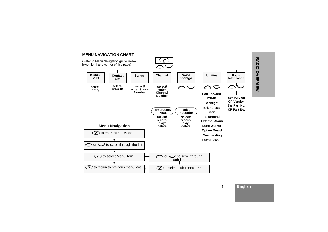<span id="page-10-0"></span>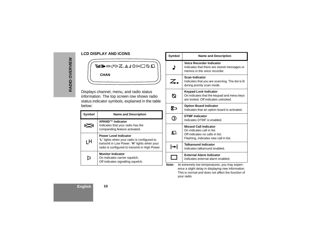#### <span id="page-11-0"></span>**LCD DISPLAY AND ICONS**



Displays channel, menu, and radio status information. The top screen row shows radio status indicator symbols, explained in the table below:

| Symbol                                                                                                                                                                             | <b>Name and Description</b>                                                                    |  |
|------------------------------------------------------------------------------------------------------------------------------------------------------------------------------------|------------------------------------------------------------------------------------------------|--|
| XPAND <sup>™</sup> Indicator<br>Indicates that your radio has the<br>companding feature activated.                                                                                 |                                                                                                |  |
| <b>Power Level Indicator</b><br>"L" lights when your radio is configured to<br>ıΗ<br>transmit in Low Power. "H" lights when your<br>radio is configured to transmit in High Power. |                                                                                                |  |
|                                                                                                                                                                                    | <b>Monitor Indicator</b><br>On indicates carrier squelch.<br>Off indicates signalling squelch. |  |

| Symbol                                                                                                                                      | <b>Name and Description</b>                                                                                       |  |
|---------------------------------------------------------------------------------------------------------------------------------------------|-------------------------------------------------------------------------------------------------------------------|--|
|                                                                                                                                             | <b>Voice Recorder Indicator</b><br>Indicates that there are stored messages or<br>memos in the voice recorder.    |  |
| 乙。                                                                                                                                          | <b>Scan Indicator</b><br>Indicates that you are scanning. The dot is lit<br>during priority scan mode.            |  |
|                                                                                                                                             | <b>Keypad Lock Indicator</b><br>On indicates that the keypad and menu keys<br>are locked. Off indicates unlocked. |  |
| <b>Option Board Indicator</b><br>Ö<br>Indicates that an option board is activated.                                                          |                                                                                                                   |  |
| <b>DTMF</b> Indicator<br>О<br>Indicates DTMF is enabled.                                                                                    |                                                                                                                   |  |
| <b>Missed Call Indicator</b><br>On indicates call in list.<br>ण<br>Off indicates no calls in list.<br>Flashing, indicates new call in list. |                                                                                                                   |  |
| l→l                                                                                                                                         | <b>Talkaround Indicator</b><br>Indicates talkaround enabled.                                                      |  |
| <b>External Alarm Indicator</b><br>Indicates external alarm enabled.                                                                        |                                                                                                                   |  |
| At extremely low temperatures, you may experi-<br>Note:                                                                                     |                                                                                                                   |  |

 At extremely low temperatures, you may experience <sup>a</sup> slight delay in displaying new information. This is normal and does not affect the function ofyour radio.

**English <sup>10</sup>**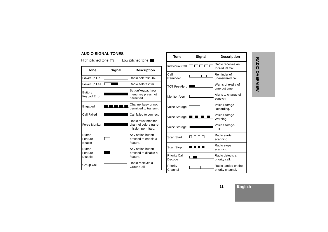| High pitched tone $\Box$<br>Low pitched tone |        |                                                                   |  |
|----------------------------------------------|--------|-------------------------------------------------------------------|--|
| Tone                                         | Signal | <b>Description</b>                                                |  |
| Power up OK                                  |        | Radio self-test OK.                                               |  |
| Power up Fail                                |        | Radio self-test fail.                                             |  |
| Button/<br>Keypad Error                      |        | Button/keypad key/<br>menu key press not<br>permitted.            |  |
| Engaged                                      |        | Channel busy or not<br>permitted to transmit.                     |  |
| Call Failed                                  |        | Call failed to connect.                                           |  |
| Force Monitor                                |        | Radio must monitor<br>channel before trans-<br>mission permitted. |  |
| <b>Button</b><br>Feature<br>Enable           |        | Any option button<br>pressed to enable a<br>feature.              |  |
| <b>Button</b><br>Feature<br>Disable          |        | Any option button<br>pressed to disable a<br>feature.             |  |
| Group Call                                   |        | Radio receives a<br>Group Call.                                   |  |

<span id="page-12-0"></span>**AUDIO SIGNAL TONES**

| Tone                           | Signal | <b>Description</b>                       |
|--------------------------------|--------|------------------------------------------|
| Individual Call                |        | Radio receives an<br>Individual Call.    |
| Call<br>Reminder               |        | Reminder of<br>unanswered call.          |
| <b>TOT Pre-Alert</b>           |        | Warns of expiry of<br>time out timer.    |
| <b>Monitor Alert</b>           |        | Alerts to change of<br>squelch.          |
| Voice Storage                  |        | Voice Storage-<br>Recording.             |
| <b>Voice Storage</b>           |        | Voice Storage-<br>Warning.               |
| <b>Voice Storage</b>           |        | Voice Storage-<br>Full.                  |
| <b>Scan Start</b>              |        | Radio starts<br>scanning.                |
| Scan Stop                      |        | Radio stops<br>scanning.                 |
| <b>Priority Call</b><br>Decode |        | Radio detects a<br>priority call.        |
| Priority<br>Channel            |        | Radio landed on the<br>priority channel. |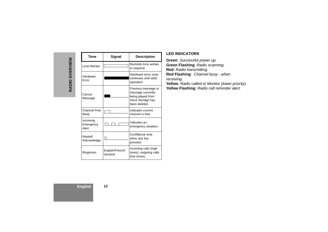| Tone                           | Signal                     | <b>Description</b>                                                                                  |
|--------------------------------|----------------------------|-----------------------------------------------------------------------------------------------------|
| Lone Worker                    |                            | Reminds lone worker<br>to respond.                                                                  |
| Hardware<br>Error              |                            | Hardware error, tone<br>continues until valid<br>operation.                                         |
| Cancel<br>Message              |                            | Previous message or<br>message currently<br>being played from<br>Voice Storage has<br>been deleted. |
| <b>Channel Free</b><br>Beep    |                            | Indicates current<br>channel is free.                                                               |
| Incoming<br>Emergency<br>Alert |                            | Indicates an<br>emergency situation.                                                                |
| Keypad<br>Acknowledge          |                            | Confidence tone<br>when any key<br>pressed.                                                         |
| Ringtones                      | English/French/<br>General | Incoming calls (high<br>tones), outgoing calls<br>(low tones).                                      |

#### <span id="page-13-0"></span>**LED INDICATORS**

**Green**: *Successful power up.* **Green Flashing**: *Radio scanning.* **Red**: *Radio transmitting.* **Red Flashing**: *Channel busy - when receiving.* **Yellow**: *Radio called or Monitor (lower priority).* **Yellow Flashing**: *Radio call reminder alert.*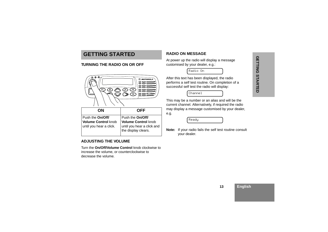#### <span id="page-14-3"></span>**GETTING STARTED**

<span id="page-14-0"></span>

| OΝ                                                                 | OFF                                                                                                 |
|--------------------------------------------------------------------|-----------------------------------------------------------------------------------------------------|
| Push the On/Off/<br>Volume Control knob<br>until you hear a click. | Push the On/Off/<br><b>Volume Control knob</b><br>until you hear a click and<br>the display clears. |

#### <span id="page-14-2"></span>**ADJUSTING THE VOLUME**

Turn the **On/Off/Volume Control** knob clockwise to increase the volume, or counterclockwise to decrease the volume.

#### <span id="page-14-1"></span>**RADIO ON MESSAGE**

At power up the radio will display <sup>a</sup> message customised by your dealer, e.g.:

Radio On

After this text has been displayed, the radio performs <sup>a</sup> self test routine. On completion of <sup>a</sup> successful self test the radio will display:

Channel

This may be <sup>a</sup> number or an alias and will be the current channel. Alternatively, if required the radio may display <sup>a</sup> message customised by your dealer, e.g.

Ready

**Note:** If your radio fails the self test routine consult your dealer.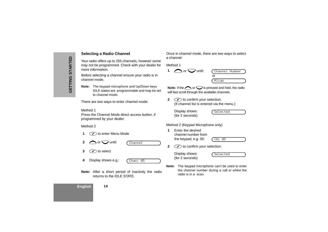#### <span id="page-15-0"></span>**Selecting <sup>a</sup> Radio Channel**

Your radio offers up to 255 channels, however some may not be programmed. Check with your dealer for more information.

Before selecting <sup>a</sup> channel ensure your radio is in channel mode.

**Note:** The keypad microphone and Up/Down keys IDLE states are programmable and may be set to channel mode.

There are two ways to enter channel mode:

#### Method 1

Press the Channel Mode direct access button, if programmed by your dealer.

#### Method 2

- **1** $\odot$  to enter Menu Mode
- **2** $\bigcirc$  or  $\bigcirc$  until:
- Channel

- **3** $\odot$  to select
- **4**Display shows e.g.:



**Note:** After <sup>a</sup> short period of inactivity the radio returns to the IDLE STATE.

Once in channel mode, there are two ways to select a channel:

Method 1



**Note:** If the  $\bigcirc$  or  $\bigcirc$  is pressed and held, the radio will fast scroll through the available channels.

**2** $\odot$  to confirm your selection. (If channel list is entered via the menu.)

> Display shows: (for 2 seconds)

**Selected** 

#### Method 2 (Keypad Microphone only)

**1** Enter the desired channel number fromthe keypad, e.g. 05:

CH: 05

**2** $\circledcirc$  to confirm your selection.

> Display shows: (for 2 seconds)

Selected

**Note:** The keypad microphone can't be used to enter the channel number during <sup>a</sup> call or whilst the radio is in a scan.

#### **English <sup>14</sup>**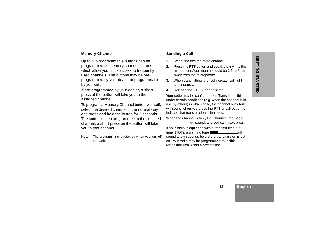#### <span id="page-16-0"></span>**Memory Channel**

Up to two programmable buttons can be<br>
programmed as memory channel buttons<br>
which allow you quick access to frequently<br>
used channels. The buttons may be pre-<br>
programmed by your dealer or programmable<br>
ontinuously.<br>
If p

press of the button will take you to the assigned channel.

To program <sup>a</sup> Memory Channel button yourself, select the desired channel in the normal way and press and hold the button for 2 seconds. The button is then programmed to the selected channel; <sup>a</sup> short press on the button will take you to that channel.

**Note:** The programming is retained when you turn off the radio.

#### <span id="page-16-1"></span>**Sending <sup>a</sup> Call**

- **1.**Select the desired radio channel.
- **2.** Press the **PTT** button and speak clearly into the microphone.Your mouth should be 2.5 to 5 cm away from the microphone.
- **3.** When transmitting, the red indicator will light continuously.
- **4.**Release the **PTT** button to listen.

Your radio may be configured for 'Transmit Inhibit' under certain conditions (e.g. when the channel is in use by others) in which case, the channel busy tone will sound when you press the PTT or call button to indicate that transmission is inhibited.

When the channel is free, the Channel Free beep will sound, and you can make <sup>a</sup> call.

If your radio is equipped with <sup>a</sup> transmit time out  $time$  (TOT), a warning tone  $\blacksquare$  will sound a few seconds before the transmission is cutoff. Your radio may be programmed to inhibit retransmission within <sup>a</sup> preset time.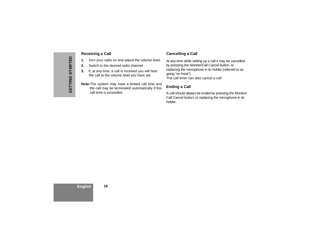#### <span id="page-17-0"></span>**Receiving <sup>a</sup> Call**

- **1.**Turn your radio on and adjust the volume level.
- **2.**Switch to the desired radio channel.
- **3.** If, at any time, <sup>a</sup> call is received you will hear the call at the volume level you have set.
- **Note:**The system may have <sup>a</sup> limited call time and the call may be terminated automatically if this call time is exceeded.

#### <span id="page-17-1"></span>**Cancelling <sup>a</sup> Call**

At any time while setting up <sup>a</sup> call it may be cancelled by pressing the Monitor/Call Cancel button, or replacing the microphone in its holder (referred to as going "on hook") . The call timer can also cancel a call.

#### <span id="page-17-2"></span>**Ending <sup>a</sup> Call**

A call should always be ended by pressing the Monitor/ Call Cancel button, or replacing the microphone in its holder.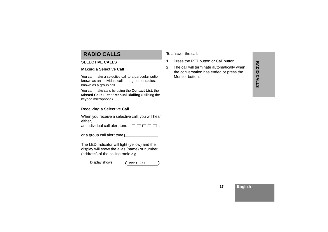### <span id="page-18-3"></span>**RADIO CALLS**

#### <span id="page-18-1"></span>**SELECTIVE CALLS**

#### <span id="page-18-2"></span>**Making <sup>a</sup> Selective Call**

You can make <sup>a</sup> selective call to <sup>a</sup> particular radio, known as an individual call, or <sup>a</sup> group of radios, known as <sup>a</sup> group call.

You can make calls by using the **Contact List**, the **Missed Calls List** or **Manual Dialling** (utilising the keypad microphone).

#### <span id="page-18-0"></span>**Receiving <sup>a</sup> Selective Call**

When you receive <sup>a</sup> selective call, you will hear either,

an individual call alert tone  $\Box \Box \Box \Box \Box$ 

or a group call alert tone  $\Box$ 

The LED Indicator will light (yellow) and the display will show the alias (name) or number (address) of the calling radio e.g.

Display shows:  $\sqrt{\text{Addr}: 234}$ 

To answer the call:

- **1.** Press the PTT button or Call button.
- **2.** The call will terminate automatically when the conversation has ended or press the Monitor button.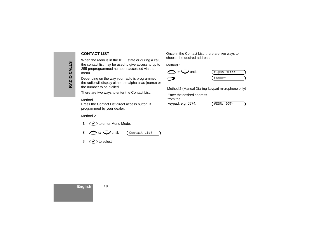#### <span id="page-19-0"></span>**CONTACT LIST**

When the radio is in the IDLE state or during <sup>a</sup> call, the contact list may be used to give access to up to 255 preprogrammed numbers accessed via the menu.

Depending on the way your radio is programmed, the radio will display either the alpha alias (name) or the number to be dialled.

There are two ways to enter the Contact List:

#### Method 1

Press the Contact List direct access button, if programmed by your dealer.

#### Method 2

- **1** $\widehat{\mathcal{C}}$  to enter Menu Mode.
- **2** $\sim$  *or*  $\sim$  until:

Contact List

**3**to select Once in the Contact List, there are two ways to choose the desired address:

Method 1



Method 2 (Manual Dialling-keypad microphone only)

Enter the desired address

from the

keypad, e.g. 0574:

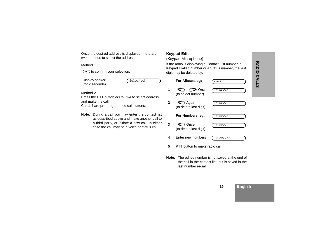Once the desired address is displayed, there are two methods to select the address:

Method 1

 $\odot$  to confirm your selection.

Display shows: (for 2 seconds)



Method 2

Press the PTT button *or* Call 1-4 to select address and make the call.

- Call 1-4 are pre-programmed call buttons.
- **Note:** During <sup>a</sup> call you may enter the contact list as described above and make another call to<sup>a</sup> third party, or initiate <sup>a</sup> new call. In either case the call may be <sup>a</sup> voice or status call.

#### <span id="page-20-0"></span>**Keypad Edit**

#### (Keypad Microphone)

If the radio is displaying <sup>a</sup> Contact List number, <sup>a</sup> Keypad Dialled number or <sup>a</sup> Status number, the last digit may be deleted by:



- **5**PTT button to make radio call.
- **Note:** The edited number is not saved at the end of the call in the contact list, but is saved in the last number redial.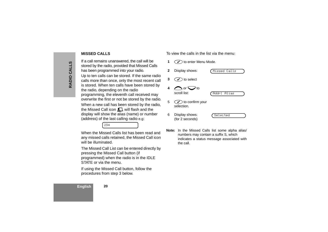#### <span id="page-21-0"></span>**MISSED CALLS**

If <sup>a</sup> call remains unanswered, the call will be stored by the radio, provided that Missed Calls has been programmed into your radio.

Up to ten calls can be stored. If the same radio calls more than once, only the most recent call is stored. When ten calls have been stored by the radio, depending on the radio programming, the eleventh call received may overwrite the first or not be stored by the radio. When <sup>a</sup> new call has been stored by the radio, the Missed Call icon  $\blacksquare$  will flash and the display will show the alias (name) or number (address) of the last calling radio e.g:

234

When the Missed Calls list has been read andany missed calls retained, the Missed Call icon will be illuminated.

The Missed Call List can be entered directly by pressing the Missed Call button (if programmed) when the radio is in the IDLE STATE or via the menu.

If using the Missed Call button, follow the procedures from step 3 below.

To view the calls in the list via the menu:

- **1** $\odot$  to enter Menu Mode.
- **2** Display shows: **3** $\widehat{\mathcal{C}}$  to select **4** +*or*eto scroll list:5 $\sigma$  to confirm your selection.6 Display shows: (for 2 seconds) Missed CallsAddr: Alias**Selected**
- **Note:** In the Missed Calls list some alpha alias/ numbers may contain <sup>a</sup> suffix S, which indicates <sup>a</sup> status message associated with the call.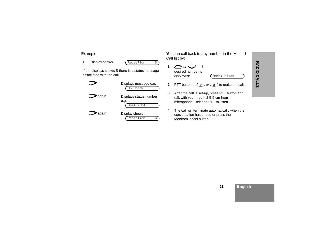**1**Display shows Reception S

If the displays shows S there is <sup>a</sup> status message associated with the call.

|         | Displays message e.g.<br>On Break           |
|---------|---------------------------------------------|
| ' again | Displays status number<br>e.g.<br>Status 04 |
| ' again | Display shows<br>Reception                  |

Example: You can call back to any number in the Missed Call list by:

> **1**1  $\bigcirc$  or  $\bigcirc$  until desired number isdisplayed:

- **22** PTT button or  $\bigcirc$  or  $\bigcirc$  to make the call.
- **3** After the call is set-up, press PTT button and talk with your mouth 2.5-5 cm from microphone. Release PTT to listen.
- **4** The call will terminate automatically when the conversation has ended or press the Monitor/Cancel button.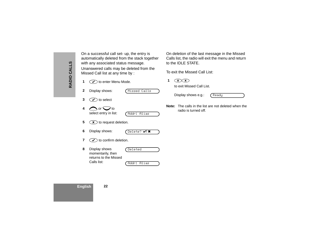On <sup>a</sup> successful call set- up, the entry is automatically deleted from the stack together with any associated status message. Unanswered calls may be deleted from the Missed Call list at any time by :

- **1** $\widehat{\mathcal{C}}$  to enter Menu Mode.
- **2**Display shows:

Missed Calls

- **3** $\widehat{\mathcal{C}}$  to select
- **4** $\sim$  *or* $\sim$  to select entry in list:



- **5** $(x)$  to request deletion.
- **6**Display shows:

Delete?  $\mathsf{V}\mathsf{/}\mathsf{X}$ 

- **7** $\widehat{\mathcal{C}}$  to confirm deletion.
- **8** Display shows momentarily, then returns to the MissedCalls list:

Deleted



On deletion of the last message in the Missed Calls list, the radio will exit the menu and return to the IDLE STATE.

To exit the Missed Call List:

**1** $\widehat{X}$  $\widehat{X}$ 

to exit Missed Call List.

Display shows e.g.:  $\qquad \qquad$  Ready



**Note:** The calls in the list are not deleted when theradio is turned off.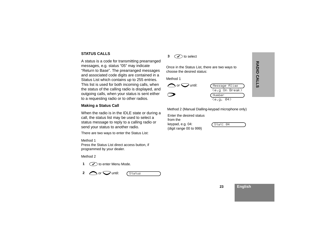#### <span id="page-24-1"></span>**STATUS CALLS**

A status is <sup>a</sup> code for transmitting prearranged messages, e.g. status "05" may indicate "Return to Base". The prearranged messages and associated code digits are contained in <sup>a</sup> Status List which contains up to 255 entries. This list is used for both incoming calls, when the status of the calling radio is displayed, and outgoing calls, when your status is sent either to <sup>a</sup> requesting radio or to other radios.

#### <span id="page-24-0"></span>**Making <sup>a</sup> Status Call**

When the radio is in the IDLE state or during <sup>a</sup> call, the status list may be used to select <sup>a</sup> status message to reply to <sup>a</sup> calling radio or send your status to another radio.

There are two ways to enter the Status List:

#### Method 1

Press the Status List direct access button, if programmed by your dealer.

Method 2

**1** $\curvearrowright$  to enter Menu Mode.



**3** $\widehat{\mathcal{C}}$  to select

Once in the Status List, there are two ways to choose the desired status:

Method 1



Method 2 (Manual Dialling-keypad microphone only)

Enter the desired statusfrom thekeypad, e.g. 04: (digit range 00 to 999)

| ч |  |  |
|---|--|--|
|   |  |  |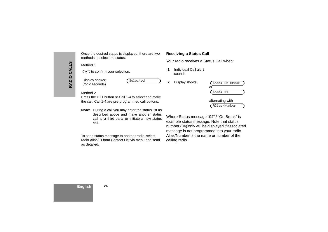Once the desired status is displayed, there are two methods to select the status:

Method 1

 $\odot$  to confirm your selection.

Display shows: (for 2 seconds)



#### Method 2

Press the PTT button *or* Call 1-4 to select and make the call. Call 1-4 are pre-programmed call buttons.

**Note:** During <sup>a</sup> call you may enter the status list as described above and make another statuscall to <sup>a</sup> third party or initiate <sup>a</sup> new status call.

To send status message to another radio, select radio Alias/ID from Contact List via menu and sendas detailed.

#### <span id="page-25-0"></span>**Receiving <sup>a</sup> Status Call**

Your radio receives a Status Call when:

- **1** Individual Call alert sounds
- **2**Display shows:

| Stat: On Break   |  |
|------------------|--|
| or               |  |
| Stat: 04'        |  |
|                  |  |
| alternating with |  |
| (Alias/Number    |  |

Where Status message "04" / "On Break" is example status message. Note that status number (04) only will be displayed if associated message is not programmed into your radio. Alias/Number is the name or number of thecalling radio.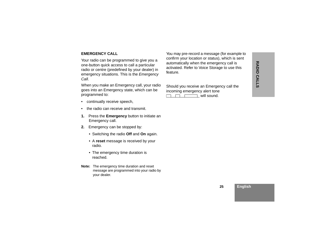#### <span id="page-26-0"></span>**EMERGENCY CALL**

Your radio can be programmed to give you <sup>a</sup> one-button quick access to call <sup>a</sup> particular radio or centre (predefined by your dealer) in emergency situations. This is the *Emergency Call*.

When you make an Emergency call, your radio goes into an Emergency state, which can be programmed to:

- •continually receive speech,
- •the radio can receive and transmit.
- **1.** Press the **Emergency** button to initiate an Emergency call.
- **2.** Emergency can be stopped by:
	- Switching the radio **Off** and **On** again.
	- A **reset** message is received by your radio.
	- The emergency time duration is reached.
- **Note:** The emergency time duration and reset message are programmed into your radio by your dealer.

You may pre-record <sup>a</sup> message (for example to confirm your location or status), which is sent automatically when the emergency call is activated. Refer to Voice Storage to use this feature.

Should you receive an Emergency call the incoming emergency alert tone

 $\Box$ will sound.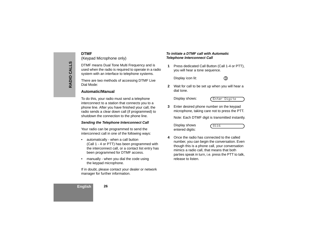#### <span id="page-27-0"></span>**DTMF**(Keypad Microphone only)

DTMF means Dual Tone Multi Frequency and is used when the radio is required to operate in <sup>a</sup> radio system with an interface to telephone systems.

There are two methods of accessing DTMF Live Dial Mode:

#### **Automatic/Manual**

To do this, your radio must send <sup>a</sup> telephone interconnect to <sup>a</sup> station that connects you to <sup>a</sup> phone line. After you have finished your call, the radio sends <sup>a</sup> clear down call (if programmed) to shutdown the connection to the phone line.

#### *Sending the Telephone Interconnect Call*

Your radio can be programmed to send the interconnect call in one of the following ways:

- • automatically - when <sup>a</sup> call button (Call 1 - 4 or PTT) has been programmed with the interconnect call, or <sup>a</sup> contact list entry has been programmed for DTMF access.
- • manually - when you dial the code using the keypad microphone.

If in doubt, please contact your dealer or network manager for further information.

#### *To initiate a DTMF call with AutomaticTelephone Interconnect Call*

**1** Press dedicated Call Button (Call 1-4 or PTT), you will hear <sup>a</sup> tone sequence.

Display icon lit: (1)

- 
- **2** Wait for call to be set up when you will hear <sup>a</sup> dial tone.

Display shows:

Enter Digits

**3** Enter desired phone number on the keypad microphone, taking care not to press the PTT.

Note: Each DTMF digit is transmitted instantly.

Display shows entered digits:

**4** Once the radio has connected to the called number, you can begin the conversation. Even though this is <sup>a</sup> phone call, your conversation mimics <sup>a</sup> radio call, that means that both parties speak in turn, i.e. press the PTT to talk, release to listen.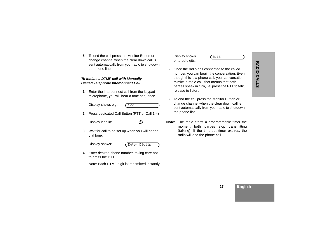**5** To end the call press the Monitor Button or change channel when the clear down call is sent automatically from your radio to shutdown the phone line.

**1** Enter the interconnect call from the keypad microphone, you will hear <sup>a</sup> tone sequence.

Display shows e.g.

- 122
- **2**Press dedicated Call Button (PTT or Call 1-4)

Display icon lit:

ന

**3** Wait for call to be set up when you will hear <sup>a</sup> dial tone.

Display shows:

Enter Digits

**4** Enter desired phone number, taking care not to press the PTT.

Note: Each DTMF digit is transmitted instantly.

Display shows entered digits:



- Sent automatically from your radio to shutdown<br>
the phone line.<br>
To initiate a DTMF call with Manually<br>
Dialled Telephone Interconnect Call<br>
Dialled Telephone Interconnect Call<br>
Dialled Telephone Interconnect Call<br>
Dialled **5** Once the radio has connected to the called number, you can begin the conversation. Even though this is <sup>a</sup> phone call, your conversation mimics <sup>a</sup> radio call, that means that both parties speak in turn, i.e. press the PTT to talk, release to listen.
	- **6** To end the call press the Monitor Button or change channel when the clear down call is sent automatically from your radio to shutdown the phone line.
	- **Note:** The radio starts <sup>a</sup> programmable timer the moment both parties stop transmitting (talking). If the time-out timer expires, the radio will end the phone call.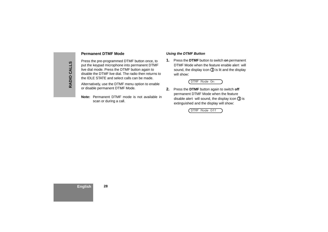#### **Permanent DTMF Mode**

Press the pre-programmed DTMF button once, to put the keypad microphone into permanent DTMF live dial mode. Press the DTMF button again to disable the DTMF live dial. The radio then returns tothe IDLE STATE and select calls can be made.

Alternatively, use the DTMF menu option to enable or disable permanent DTMF Mode.

**Note:** Permanent DTMF mode is not available inscan or during <sup>a</sup> call.

#### *Using the DTMF Button*

**1.** Press the **DTMF** button to switch **on** permanent DTMF Mode when the feature enable alert willsound, the display icon  $\Omega$  is lit and the display will show:



**2.** Press the **DTMF** button again to switch **off** permanent DTMF Mode when the feature disable alert will sound, the display icon  $\Omega$  is extinguished and the display will show:

DTMF Mode Off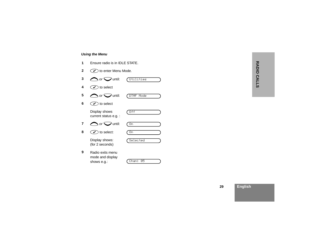#### *Using the Menu*

- **1**Ensure radio is in IDLE STATE.
- **2** $\odot$  to enter Menu Mode.
- **3** $\bigcirc$  or  $\bigcirc$  until: **4** $\curvearrowright$  to select
- **5** $\bigcirc$  *or*  $\bigcirc$  until:
- DTMF Mode

Utilities

Off

On

On

Selected

- **6** $\widehat{\mathcal{C}}$  to select
	- Display shows current status e.g. :
- **7** $\curvearrowright$  or  $\curvearrowright$  until:
- **8** $\widehat{\blacktriangledown}$  to select:

Display shows: (for 2 seconds)

**9** Radio exits menumode and display shows e.g.:

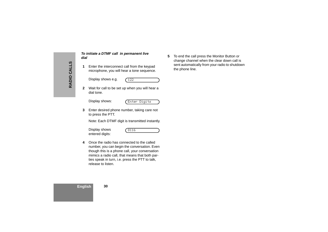#### *To initiate <sup>a</sup> DTMF call in permanent live dial*

**1** Enter the interconnect call from the keypad microphone, you will hear <sup>a</sup> tone sequence.

Display shows e.g.



**2** Wait for call to be set up when you will hear <sup>a</sup> dial tone.

Display shows:

Enter Digits

**3** Enter desired phone number, taking care not to press the PTT.

Note: Each DTMF digit is transmitted instantly.

Display shows entered digits:



**4** Once the radio has connected to the called number, you can begin the conversation. Even though this is <sup>a</sup> phone call, your conversation mimics <sup>a</sup> radio call, that means that both parties speak in turn, i.e. press the PTT to talk, release to listen.

**5** To end the call press the Monitor Button or change channel when the clear down call is sent automatically from your radio to shutdown the phone line.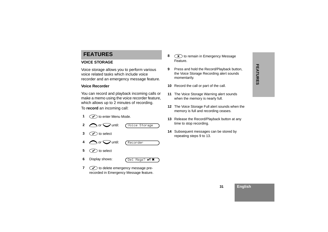### <span id="page-32-0"></span>**FEATURES**

#### <span id="page-32-1"></span>**VOICE STORAGE**

Voice storage allows you to perform various voice related tasks which include voicerecorder and an emergency message feature.

#### <span id="page-32-2"></span>**Voice Recorder**

You can record and playback incoming calls or make <sup>a</sup> memo using the voice recorder feature, which allows up to 2 minutes of recording.

To **record** an incoming call:

- **1** $\widehat{\mathcal{C}}$  to enter Menu Mode.
- **2** $\bullet$  *or*  $\bullet$  until: **3** $\alpha$  to select **4** $\sim$  *or*  $\sim$  until: **5** $\widehat{\mathcal{C}}$  to select **6** Display shows: **7** $\odot$  to delete emergency message pre-Voice Storage RecorderDel Msgs? ✔️✖
- recorded in Emergency Message feature.
- **8** $\alpha$  to remain in Emergency Message Feature.
- **9** Press and hold the Record/Playback button, the Voice Storage Recording alert sounds momentarily.
- **10** Record the call or part of the call.
- **11** The Voice Storage Warning alert sounds when the memory is nearly full.
- **12** The Voice Storage Full alert sounds when the memory is full and recording ceases.
- **13** Release the Record/Playback button at any time to stop recording.
- **14** Subsequent messages can be stored by repeating steps 9 to 13.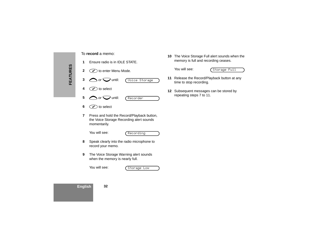#### To **record** a memo:

- **1**Ensure radio is in IDLE STATE.
- **2** $\odot$  to enter Menu Mode.
- **3** $or \sum$ until: **4**to select Voice Storage
- **5** $\bullet$  *or*  $\rightarrow$  until:
- Recorder
- **6** $\widehat{\mathcal{C}}$  to select
- **7** Press and hold the Record/Playback button, the Voice Storage Recording alert sounds momentarily.

You will see:

Recording

- **8** Speak clearly into the radio microphone to record your memo.
- **9** The Voice Storage Warning alert sounds when the memory is nearly full.

You will see:

Storage Low

**10** The Voice Storage Full alert sounds when the memory is full and recording ceases.

You will see:

Storage Full

- **11** Release the Record/Playback button at any time to stop recording.
- **12** Subsequent messages can be stored by repeating steps 7 to 11.

**English <sup>32</sup>**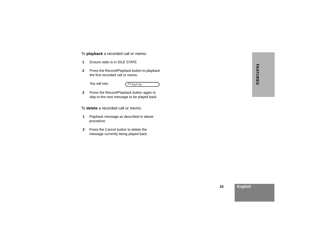#### To **playback** <sup>a</sup> recorded call or memo:

- **1**Ensure radio is in IDLE STATE
- **2** Press the Record/Playback button to playback the first recorded call or memo.

You will see:

Playing

**3** Press the Record/Playback button again to skip to the next message to be played back.

To **delete** a recorded call or memo:

- **1** Playback message as described in above procedure.
- **2** Press the Cancel button to delete the message currently being played back.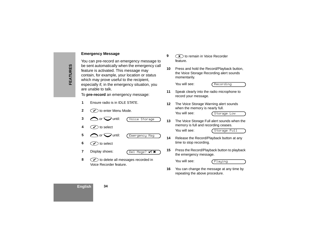#### <span id="page-35-0"></span>**Emergency Message**

You can pre-record an emergency message to be sent automatically when the emergency call feature is activated. This message may contain, for example, your location or status which may prove useful to the recipient. especially if, in the emergency situation, you are unable to talk.

To **pre-record** an emergency message:

- **1**Ensure radio is in IDLE STATE.
- **2** $\widehat{\mathcal{C}}$  to enter Menu Mode.
- **3***or* $\bigcirc$  until: Voice Storage
- **4**to select

**5**



- **6**to select
- **7**Display shows:



**8** $\odot$  to delete all messages recorded in Voice Recorder feature.

- **9** $\widehat{\mathbf{X}}$  to remain in Voice Recorder feature.
- **10** Press and hold the Record/Playback button, the Voice Storage Recording alert sounds momentarily.

You will see:

Recording

- **11** Speak clearly into the radio microphone to record your message.
- **12** The Voice Storage Warning alert sounds when the memory is nearly full. You will see:Storage Low
- **13** The Voice Storage Full alert sounds when the memory is full and recording ceases. You will see:
	- Storage Full
- **14** Release the Record/Playback button at any time to stop recording.
- **15** Press the Record/Playback button to playback the emergency message.

You will see:

Playing

**16** You can change the message at any time by repeating the above procedure.

**English <sup>34</sup>**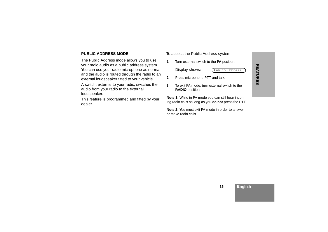#### <span id="page-36-0"></span>**PUBLIC ADDRESS MODE**

The Public Address mode allows you to use your radio audio as <sup>a</sup> public address system. You can use your radio microphone as normal and the audio is routed through the radio to an external loudspeaker fitted to your vehicle.

A switch, external to your radio, switches the audio from your radio to the external loudspeaker.

This feature is programmed and fitted by your dealer.

To access the Public Address system:

**1**Turn external switch to the **PA** position.

Display shows:

Public Address

- **2**Press microphone PTT and talk.
- **3** To exit PA mode, turn external switch to the **RADIO** position.

**Note 1:** While in PA mode you can still hear incoming radio calls as long as you **do not** press the PTT.

**Note 2:** You must exit PA mode in order to answer or make radio calls.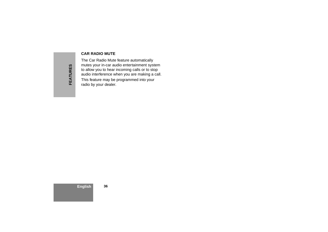#### <span id="page-37-0"></span>**CAR RADIO MUTE**

The Car Radio Mute feature automatically mutes your in-car audio entertainment system to allow you to hear incoming calls or to stop audio interference when you are making <sup>a</sup> call. This feature may be programmed into your radio by your dealer.

#### **English <sup>36</sup>**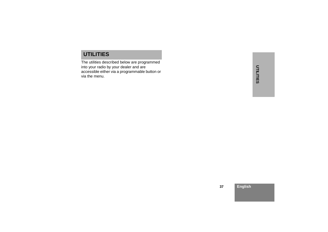## <span id="page-38-0"></span>**UTILITIES**

The utilities described below are programmed into your radio by your dealer and are accessible either via <sup>a</sup> programmable button or via the menu.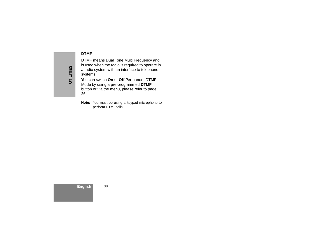#### **DTMF**

DTMF means Dual Tone Multi Frequency and is used when the radio is required to operate in <sup>a</sup> radio system with an interface to telephone systems.

You can switch **On** or **Off** Permanent DTMF Mode by using <sup>a</sup> pre-programmed **DTMF** button or via the menu, please refer to page [26](#page-27-0).

**Note:** You must be using <sup>a</sup> keypad microphone to perform DTMFcalls.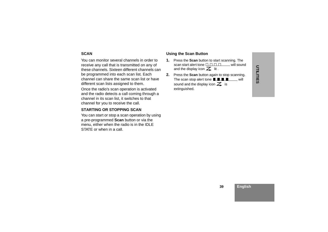#### <span id="page-40-0"></span>**SCAN**

You can monitor several channels in order toreceive any call that is transmitted on any of these channels. Sixteen different channels canbe programmed into each scan list. Each channel can share the same scan list or havedifferent scan lists assigned to them.

Once the radio's scan operation is activated and the radio detects <sup>a</sup> call coming through <sup>a</sup> channel in its scan list, it switches to that channel for you to receive the call.

#### **STARTING OR STOPPING SCAN**

You can start or stop <sup>a</sup> scan operation by using <sup>a</sup> pre-programmed **Scan** button or via the menu, either when the radio is in the IDLE STATE or when in a call.

#### **Using the Scan Button**

- **1.** Press the **Scan** button to start scanning. The scan start alert tone  $\square \square \square \square$  will sound and the display icon  $\mathbf{Z}$  lit.
- **2.** Press the **Scan** button again to stop scanning. The scan stop alert tone  $\blacksquare$   $\blacksquare$   $\blacksquare$  will sound and the display icon  $\mathbf{Z}$  is extinguished.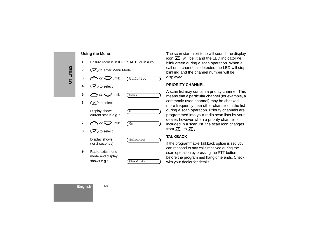- **1**Ensure radio is in IDLE STATE, or in <sup>a</sup> call.
- **2**to enter Menu Mode.



**Using the Menu The scan start alert tone will sound, the display Using the Menu** icon  $\mathbb Z$  will be lit and the LED indicator will blink green during <sup>a</sup> scan operation. When <sup>a</sup> call on <sup>a</sup> channel is detected the LED will stop blinking and the channel number will be displayed.

#### **PRIORITY CHANNEL**

A scan list may contain <sup>a</sup> priority channel. This means that <sup>a</sup> particular channel (for example, <sup>a</sup> commonly used channel) may be checked more frequently than other channels in the list during <sup>a</sup> scan operation. Priority channels are programmed into your radio scan lists by your dealer, however when <sup>a</sup> priority channel is included in <sup>a</sup> scan list, the scan icon changes from  $Z$  to  $Z$ .

#### **TALKBACK**

If the programmable Talkback option is set, you can respond to any calls received during the scan operation by pressing the PTT button before the programmed hang-time ends. Check with your dealer for details.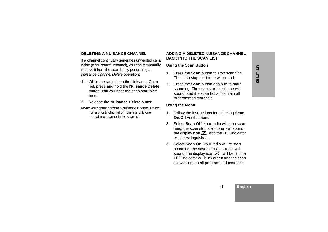#### **DELETING A NUISANCE CHANNEL**

If <sup>a</sup> channel continually generates unwanted calls/ noise (a "nuisance" channel), you can temporarily remove it from the scan list by performing <sup>a</sup> *Nuisance Channel Delete* operation:

- **1.** While the radio is on the Nuisance Channel, press and hold the **Nuisance Delete** button until you hear the scan start alert tone.
- **2.**Release the **Nuisance Delete** button.
- **Note:**You cannot perform <sup>a</sup> Nuisance Channel Delete on <sup>a</sup> priority channel or if there is only one remaining channel in the scan list.

#### **ADDING A DELETED NUISANCE CHANNELBACK INTO THE SCAN LIST**

#### **Using the Scan Button**

- **1.** Press the **Scan** button to stop scanning. The scan stop alert tone will sound.
- **2.** Press the **Scan** button again to re-start scanning. The scan start alert tone will sound, and the scan list will contain all programmed channels.

#### **Using the Menu**

- **1.** Follow the instructions for selecting **Scan On/Off** via the menu
- **2.** Select **Scan Off**. Your radio will stop scanning, the scan stop alert tone will sound, the display icon  $\boldsymbol{\mathcal{Z}}$  and the LED indicator will be extinguished.
- **3.** Select **Scan On**. Your radio will re-start scanning, the scan start alert tone will sound, the display icon  $\boldsymbol{\mathcal{Z}}$  will be lit , the LED indicator will blink green and the scan list will contain all programmed channels.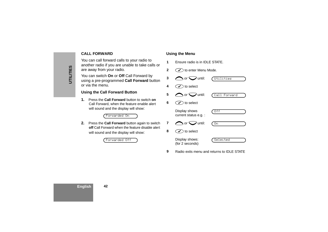#### <span id="page-43-0"></span>**CALL FORWARD**

You can call forward calls to your radio to another radio if you are unable to take calls or are away from your radio.

You can switch **On** or **Off** Call Forward by using <sup>a</sup> pre-programmed **Call Forward** button or via the menu.

#### **Using the Call Forward Button**

**1.** Press the **Call Forward** button to switch **on** Call Forward, when the feature enable alert will sound and the display will show:

Forwarded On

**2.** Press the **Call Forward** button again to switch **off** Call Forward when the feature disable alert will sound and the display will show:

Forwarded Off

#### **Using the Menu**

- **1** Ensure radio is in IDLE STATE. **2** $\widehat{\mathcal{C}}$  to enter Menu Mode. **3** $or$   $\bigcirc$  until: **4** $\widehat{\mathcal{C}}$  to select **5** $\bullet$  *or*  $\bigcirc$  until: **6** $\widehat{\mathcal{C}}$  to select Display shows current status e.g. : **7** $\bullet$  *or*  $\blacktriangleright$  until: **8** $\triangleright$  to select Display shows: (for 2 seconds) UtilitiesCall ForwardOffOnSelected
- **9**Radio exits menu and returns to IDLE STATE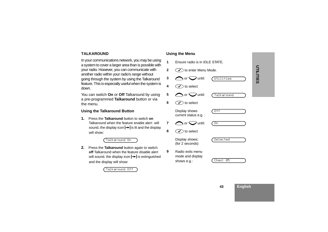## **UTILITIES**

#### <span id="page-44-0"></span>**TALKAROUND**

In your communications network, you may be using <sup>a</sup> system to cover <sup>a</sup> larger area than is possible with your radio. However, you can communicate with another radio within your radio's range without going through the system by using the Talkaround feature. This is especially useful when the system is down.

You can switch **On** or **Off** Talkaround by using <sup>a</sup> pre-programmed **Talkaround** button or via the menu.

#### **Using the Talkaround Button**

**1.** Press the **Talkaround** button to switch **on** Talkaround when the feature enable alert willsound, the display icon  $\rightarrow$  is lit and the display will show:

Talkaround On

**2.** Press the **Talkaround** button again to switch **off** Talkaround when the feature disable alert will sound, the display icon  $\rightarrow$  is extinguished and the display will show:

Talkaround Off

#### **Using the Menu**

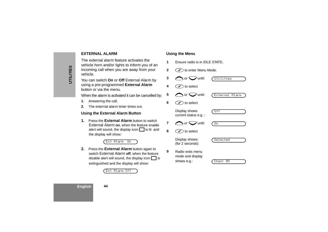#### <span id="page-45-0"></span>**EXTERNAL ALARM**

The external alarm feature activates thevehicle horn and/or lights to inform you of an incoming call when you are away from your vehicle.

You can switch **On** or **Off** External Alarm by using <sup>a</sup> pre-programmed **External Alarm** button or via the menu.

When the alarm is activated it can be cancelled by:

- **1.**Answering the call.
- **2.**The external alarm timer times out.

#### **Using the External Alarm Button**

**1.** Press the **External Alarm** button to switch External Alarm **on**, when the feature enable alert will sound, the display icon  $\Box$  is lit and the display will show:



**2.** Press the **External Alarm** button again to switch External Alarm **off**, when the feature disable alert will sound, the display icon  $\Box$  is extinguished and the display will show:



#### **Using the Menu**

- **1**Ensure radio is in IDLE STATE.
- **2** $\widehat{\mathcal{C}}$  to enter Menu Mode.



**English <sup>44</sup>**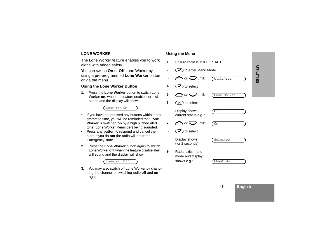## **UTILITIES**

#### <span id="page-46-0"></span>**LONE WORKER**

The Lone Worker feature enables you to work alone with added safety.

You can switch **On** or **Off** Lone Worker by using <sup>a</sup> pre-programmed **Lone Worker** button or via the menu.

#### **Using the Lone Worker Button**

**1.** Press the **Lone Worker** button to switch Lone Worker **on**, when the feature enable alert will sound and the display will show:

Lone Wkr On

- • If you have not pressed any buttons within <sup>a</sup> programmed time, you will be reminded that **Lone Worker** is switched **on** by <sup>a</sup> high pitched alert tone (Lone Worker Reminder) being sounded.
- Press **any button** to respond and cancel the alert, if you do **not** the radio will enter the Emergency state.
- **2.** Press the **Lone Worker** button again to switch Lone Worker **off**, when the feature disable alert will sound and the display will show:



**3.** You may also switch off Lone Worker by changing the channel or switching radio **off** and **on** again.

#### **Using the Menu**

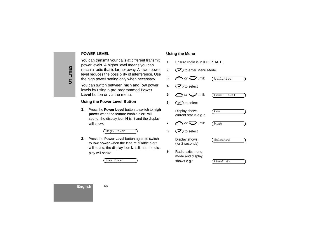#### <span id="page-47-0"></span>**POWER LEVEL**

You can transmit your calls at different transmit power levels. A higher level means you can reach <sup>a</sup> radio that is farther away. A lower power level reduces the possibility of interference. Use the high power setting only when necessary.

You can switch between **high** and **low** power levels by using <sup>a</sup> pre-programmed **Power Level** button or via the menu.

#### **Using the Power Level Button**

**1.** Press the **Power Level** button to switch to **high power** when the feature enable alert will sound, the display icon **H** is lit and the display will show:



**2.** Press the **Power Level** button again to switch to **low power** when the feature disable alert will sound, the display icon **L** is lit and the display will show:

**Low Power** 

#### **Using the Menu**

**1** Ensure radio is in IDLE STATE. **2** $\widehat{\mathcal{C}}$  to enter Menu Mode. **3** $or$   $\bigcirc$  until: **4**to select **5** $or$   $\bigcirc$  until: **6** $\alpha$  to select Display shows current status e.g. : **7** $or \sum$ until: **8**to select Display shows: (for 2 seconds) **9** Radio exits menumode and display shows e.g.: UtilitiesPower LevelLow**High** SelectedChan: 05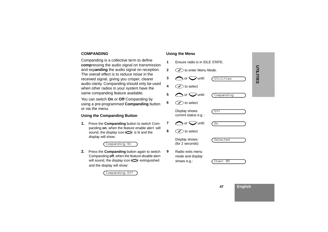## **UTILITIES**

#### <span id="page-48-0"></span>**COMPANDING**

Companding is <sup>a</sup> collective term to define **comp**ressing the audio signal on transmission and exp**anding** the audio signal on reception. The overall effect is to reduce noise in thereceived signal, giving you crisper, clearer audio clarity. Companding should only be used when other radios in your system have the same companding feature available.

You can switch **On** or **Off** Companding by using <sup>a</sup> pre-programmed **Companding** button or via the menu.

#### **Using the Companding Button**

**1.** Press the **Companding** button to switch Companding **on**, when the feature enable alert will is lit and the display icon **inclusion** is lit and the display will show:

Companding On

**2.** Press the **Companding** button again to switch Companding **off**, when the feature disable alert will sound, the display icon ( $\sum 1$  extinguished and the display will show:

Companding Off

#### **Using the Menu**



**47**

#### **English**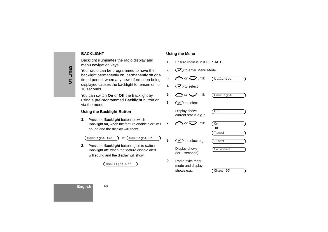#### <span id="page-49-0"></span>**BACKLIGHT**

Backlight illuminates the radio display and menu navigation keys.

Your radio can be programmed to have the backlight permanently on, permanently off or <sup>a</sup> timed period, when any new information being displayed causes the backlight to remain on for 10 seconds.

You can switch **On** or **Off** the Backlight by using <sup>a</sup> pre-programmed **Backlight** button or via the menu.

#### **Using the Backlight Button**

**1.** Press the **Backlight** button to switch Backlight **on**, when the feature enable alert will sound and the display will show:

Backlight Tmd *or* Backlight On

**2.** Press the **Backlight** button again to switch Backlight **off**, when the feature disable alert will sound and the display will show:

Backlight Off

#### **Using the Menu**

**1** Ensure radio is in IDLE STATE. **2** $\widehat{\mathcal{C}}$  to enter Menu Mode. **3** $or$   $\bigcirc$  until: **4** $\widehat{\mathcal{C}}$  to select **5** $or \sum$  until: **6** $\alpha$  to select Display shows current status e.g. : **7** $or \sum$ until: or**8** $\widehat{\mathcal{C}}$  to select e.g.: Display shows: (for 2 seconds) **9** Radio exits menumode and display shows e.g.: UtilitiesBacklight OffOnTimedTimedSelectedChan: 05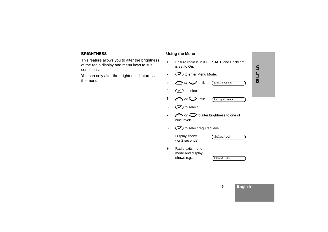## **UTILITIES**

#### <span id="page-50-0"></span>**BRIGHTNESS**

This feature allows you to alter the brightness of the radio display and menu keys to suit conditions.

You can only alter the brightness feature via the menu.

#### **Using the Menu**

- **1** Ensure radio is in IDLE STATE and Backlight is set to On.
- **2** $\widehat{\mathcal{C}}$  to enter Menu Mode.



- **5** $\bigcirc$  *or*  $\bigcirc$  until: **Brightness**
- **6** $\curvearrowright$  to select
- **7** $\sim$  *or* $\heartsuit$  to alter brightness to one of nine levels.
- **8** $\odot$  to select required level.

Display shows: (for 2 seconds)

|  | ecter<br>a |  |
|--|------------|--|
|  |            |  |
|  |            |  |

**9** Radio exits menumode and display shows e.g.:

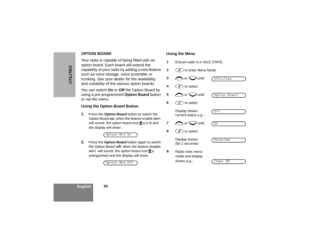#### <span id="page-51-0"></span>**OPTION BOARD**

Your radio is capable of being fitted with an option board. Each board will extend the capability of your radio by adding <sup>a</sup> new feature such as voice storage, voice scrambler or trunking. See your dealer for the availability and suitability of the various option boards.

You can switch **On** or **Off** the Option Board by using <sup>a</sup> pre-programmed **Option Board** button or via the menu.

#### **Using the Option Board Button**

**1.** Press the **Option Board** button to switch the Option Board **on**, when the feature enable alert will sound, the option board icon  $\ddot{\bullet}$  is lit and the display will show:

Option Brd On

**2.** Press the **Option Board** button again to switch the Option Board **off**, when the feature disable alert will sound, the option board icon  $\ddot{\bullet}$ extinguished and the display will show:

Option Brd Off

#### **Using the Menu**

**1** Ensure radio is in IDLE STATE. **2** $\widehat{\mathcal{C}}$  to enter Menu Mode. **3** $or$   $\bigcirc$  until: **4**to select **5** $or$   $\bigcirc$  until: **6** $\bigcirc$  to select Display shows current status e.g. : **7** $or \sum$  until: **8**to select Display shows: (for 2 seconds) **9** Radio exits menumode and display shows e.g.: UtilitiesOption Board OffOnSelectedChan: 05

**English <sup>50</sup>**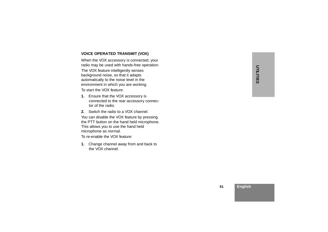#### <span id="page-52-0"></span>**VOICE OPERATED TRANSMIT (VOX)**

When the VOX accessory is connected, your radio may be used with hands-free operation.

The VOX feature intelligently senses background noise, so that it adapts automatically to the noise level in the environment in which you are working.

To start the VOX feature:

- **1.** Ensure that the VOX accessory is connected to the rear accessory connector of the radio.
- **2.** Switch the radio to a VOX channel.

You can disable the VOX feature by pressing the PTT button on the hand held microphone. This allows you to use the hand held microphone as normal.

To re-enable the VOX feature:

**1.** Change channel away from and back to the VOX channel.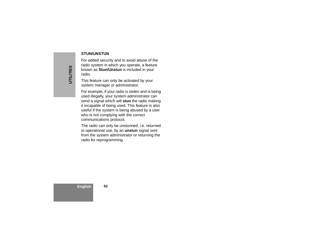#### <span id="page-53-0"></span>**STUN/UNSTUN**

For added security and to avoid abuse of the radio system in which you operate, <sup>a</sup> feature known as **Stun/Unstun** is included in your radio.

This feature can only be activated by your system manager or administrator.

For example, if your radio is stolen and is being used illegally, your system administrator can send <sup>a</sup> signal which will **stun** the radio making it incapable of being used. This feature is also useful if the system is being abused by <sup>a</sup> user who is not complying with the correct communications protocol.

The radio can only be unstunned, i.e. returned to operational use, by an **unstun** signal sent from the system administrator or returning the radio for reprogramming.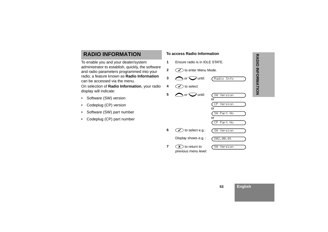- •Software (SW) version
- •Codeplug (CP) version
- •Software (SW) part number
- •Codeplug (CP) part number

#### **To access Radio Information**

<span id="page-54-0"></span>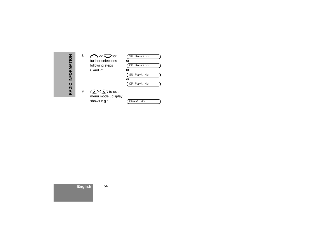| ADIO INFORMATION | 8 | $\sum$ or $\sum$ for<br>further selections<br>following steps<br>6 and 7: | SW.<br>Version<br>Version<br>or<br>SW Part No |
|------------------|---|---------------------------------------------------------------------------|-----------------------------------------------|
|                  | 9 | $\mathbf{x}$ $\mathbf{y}$ to exit                                         | oı<br>CP Part No                              |

menu mode , display shows e.g.:

|--|--|--|--|--|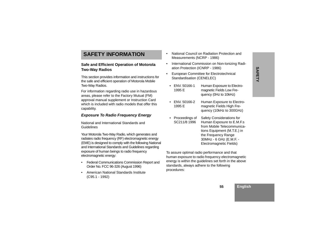### <span id="page-56-2"></span>**SAFETY INFORMATION**

#### <span id="page-56-1"></span>**Safe and Efficient Operation of Motorola Two-Way Radios**

This section provides information and instructions for the safe and efficient operation of Motorola Mobile Two-Way Radios.

For information regarding radio use in hazardous areas, please refer to the Factory Mutual (FM) approval manual supplement or Instruction Card which is included with radio models that offer this capability.

#### <span id="page-56-0"></span>*Exposure To Radio Frequency Energy*

National and International Standards andGuidelines

Your Motorola Two-Way Radio, which generates and radiates radio frequency (RF) electromagnetic energy (EME) is designed to comply with the following National and International Standards and Guidelines regarding exposure of human beings to radio frequency electromagnetic energy:

- Federal Communications Commission Report and Order No. FCC 96-326 (August 1996)
- • American National Standards Institute(C95.1 - 1992)
- • National Council on Radiation Protection andMeasurements (NCRP - 1986)
- • International Commission on Non-Ionizing Radiation Protection (ICNRP - 1986)
- • European Committee for Electrotechnical Standardisation (CENELEC)
	- ENV. 50166-11995 EHuman Exposure to Electromagnetic Fields Low Frequency (0Hz to 10kHz)
	- ENV. 50166-21995 E
	- • Proceedings of SC211/8 1996
- Human Exposure to Electromagnetic Fields High Frequency (10kHz to 300GHz)
- Safety Considerations for Human Exposure to E.M.F.s from Mobile Telecommunications Equipment (M.T.E.) in the Frequency Range 30MHz - 6 GHz (E.M.F. - Electromagnetic Fields)

To assure optimal radio performance and that human exposure to radio frequency electromagnetic energy is within the guidelines set forth in the above standards, always adhere to the following procedures:

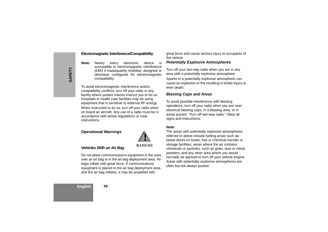#### <span id="page-57-3"></span>**Electromagnetic Interference/Compatibility**

**Note:** Nearly every electronic device is susceptible to electromagnetic interference (EMI) if inadequately shielded, designed or otherwise configured for electromagnetic compatibility.

To avoid electromagnetic interference and/or compatibility conflicts, turn off your radio in any facility where posted notices instruct you to do so. Hospitals or health care facilities may be using equipment that is sensitive to external RF energy. When instructed to do so, turn off your radio when on board an aircraft. Any use of <sup>a</sup> radio must be in accordance with airline regulations or crew instructions.

#### <span id="page-57-2"></span>**Operational Warnings**



#### *Vehicles With an Air Bag*

Do not place communications equipment in the area over an air bag or in the air bag deployment area. Air bags inflate with great force. If communications equipment is placed in the air bag deployment area and the air bag inflates, it may be propelled with

great force and cause serious injury to occupants of the vehicle.

#### <span id="page-57-1"></span>*Potentially Explosive Atmospheres*

Turn off your two-way radio when you are in any area with <sup>a</sup> potentially explosive atmosphere.

Sparks in <sup>a</sup> potentially explosive atmosphere can cause an explosion or fire resulting in bodily injury or even death.

#### <span id="page-57-0"></span>*Blasting Caps and Areas*

To avoid possible interference with blasting operations, turn off your radio when you are near electrical blasting caps, in <sup>a</sup> blasting area, or in areas posted: "Turn off two-way radio." Obey all signs and instructions.

#### **Note:**

The areas with potentially explosive atmospheres referred to above include fueling areas such as: below decks on boats; fuel or chemical transfer or storage facilities; areas where the air contains chemicals or particles, such as grain, dust or metal powders; and any other area where you would normally be advised to turn off your vehicle engine. Areas with potentially explosive atmospheres are often but not always posted.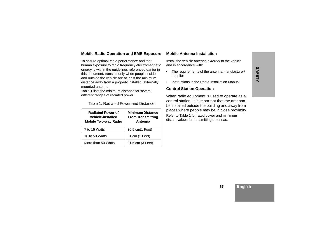#### <span id="page-58-2"></span>**Mobile Radio Operation and EME Exposure**

To assure optimal radio performance and that human exposure to radio frequency electromagnetic energy is within the guidelines referenced earlier in this document, transmit only when people inside and outside the vehicle are at least the minimumdistance away from <sup>a</sup> properly installed, externally mounted antenna.

Table 1 lists the minimum distance for severaldifferent ranges of radiated power.

Table 1: Radiated Power and Distance

| <b>Radiated Power of</b><br><b>Vehicle-installed</b><br><b>Mobile Two-way Radio</b> | <b>Minimum Distance</b><br><b>From Transmitting</b><br>Antenna |
|-------------------------------------------------------------------------------------|----------------------------------------------------------------|
| 7 to 15 Watts                                                                       | 30.5 cm(1 Foot)                                                |
| 16 to 50 Watts                                                                      | 61 cm (2 Feet)                                                 |
| More than 50 Watts                                                                  | 91.5 cm (3 Feet)                                               |

#### <span id="page-58-1"></span>**Mobile Antenna Installation**

Install the vehicle antenna *external* to the vehicle and in accordance with:

- • The requirements of the antenna manufacturer/ supplier
- •Instructions in the Radio Installation Manual

#### <span id="page-58-0"></span>**Control Station Operation**

When radio equipment is used to operate as a control station, it is important that the antenna be installed outside the building and away from places where people may be in close proximity. Refer to Table 1 for rated power and minimum distant values for transmitting antennas.